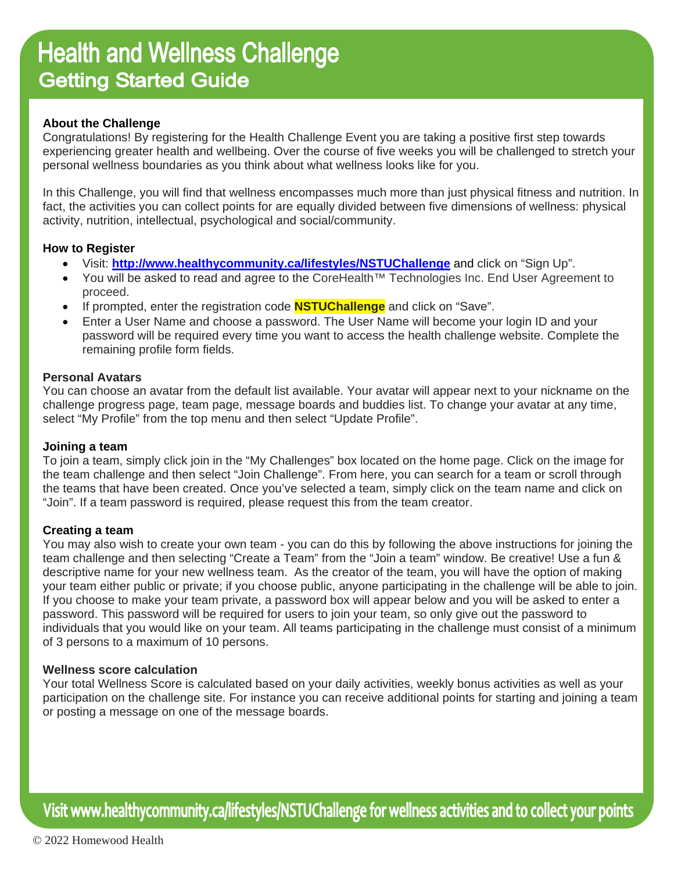# **Health and Wellness Challenge Getting Started Guide**

# **About the Challenge**

Congratulations! By registering for the Health Challenge Event you are taking a positive first step towards experiencing greater health and wellbeing. Over the course of five weeks you will be challenged to stretch your personal wellness boundaries as you think about what wellness looks like for you.

In this Challenge, you will find that wellness encompasses much more than just physical fitness and nutrition. In fact, the activities you can collect points for are equally divided between five dimensions of wellness: physical activity, nutrition, intellectual, psychological and social/community.

# **How to Register**

- Visit: **http://www.healthycommunity.ca/lifestyles/NSTUChallenge** and click on "Sign Up".
- You will be asked to read and agree to the CoreHealth™ Technologies Inc. End User Agreement to proceed.
- If prompted, enter the registration code **NSTUChallenge** and click on "Save".
- Enter a User Name and choose a password. The User Name will become your login ID and your password will be required every time you want to access the health challenge website. Complete the remaining profile form fields.

## **Personal Avatars**

You can choose an avatar from the default list available. Your avatar will appear next to your nickname on the challenge progress page, team page, message boards and buddies list. To change your avatar at any time, select "My Profile" from the top menu and then select "Update Profile".

## **Joining a team**

To join a team, simply click join in the "My Challenges" box located on the home page. Click on the image for the team challenge and then select "Join Challenge". From here, you can search for a team or scroll through the teams that have been created. Once you've selected a team, simply click on the team name and click on "Join". If a team password is required, please request this from the team creator.

## **Creating a team**

You may also wish to create your own team - you can do this by following the above instructions for joining the team challenge and then selecting "Create a Team" from the "Join a team" window. Be creative! Use a fun & descriptive name for your new wellness team. As the creator of the team, you will have the option of making your team either public or private; if you choose public, anyone participating in the challenge will be able to join. If you choose to make your team private, a password box will appear below and you will be asked to enter a password. This password will be required for users to join your team, so only give out the password to individuals that you would like on your team. All teams participating in the challenge must consist of a minimum of 3 persons to a maximum of 10 persons.

## **Wellness score calculation**

Your total Wellness Score is calculated based on your daily activities, weekly bonus activities as well as your participation on the challenge site. For instance you can receive additional points for starting and joining a team or posting a message on one of the message boards.

Visit www.healthycommunity.ca/lifestyles/NSTUChallenge for wellness activities and to collect your points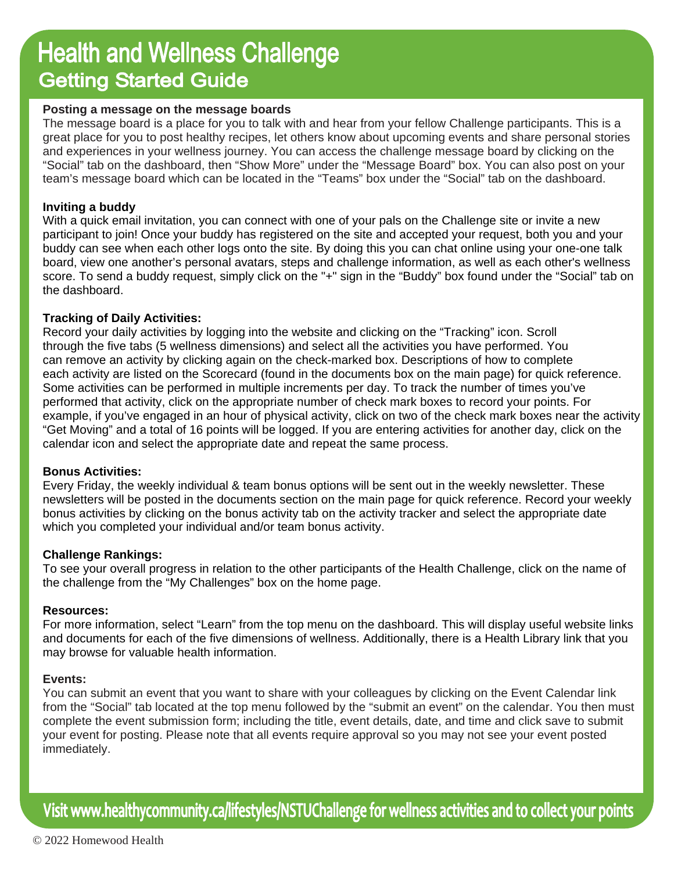# **Health and Wellness Challenge Getting Started Guide**

#### **Posting a message on the message boards**

The message board is a place for you to talk with and hear from your fellow Challenge participants. This is a great place for you to post healthy recipes, let others know about upcoming events and share personal stories and experiences in your wellness journey. You can access the challenge message board by clicking on the "Social" tab on the dashboard, then "Show More" under the "Message Board" box. You can also post on your team's message board which can be located in the "Teams" box under the "Social" tab on the dashboard.

#### **Inviting a buddy**

With a quick email invitation, you can connect with one of your pals on the Challenge site or invite a new participant to join! Once your buddy has registered on the site and accepted your request, both you and your buddy can see when each other logs onto the site. By doing this you can chat online using your one-one talk board, view one another's personal avatars, steps and challenge information, as well as each other's wellness score. To send a buddy request, simply click on the "+" sign in the "Buddy" box found under the "Social" tab on the dashboard.

## **Tracking of Daily Activities:**

Record your daily activities by logging into the website and clicking on the "Tracking" icon. Scroll through the five tabs (5 wellness dimensions) and select all the activities you have performed. You can remove an activity by clicking again on the check-marked box. Descriptions of how to complete each activity are listed on the Scorecard (found in the documents box on the main page) for quick reference. Some activities can be performed in multiple increments per day. To track the number of times you've performed that activity, click on the appropriate number of check mark boxes to record your points. For example, if you've engaged in an hour of physical activity, click on two of the check mark boxes near the activity "Get Moving" and a total of 16 points will be logged. If you are entering activities for another day, click on the calendar icon and select the appropriate date and repeat the same process.

#### **Bonus Activities:**

Every Friday, the weekly individual & team bonus options will be sent out in the weekly newsletter. These newsletters will be posted in the documents section on the main page for quick reference. Record your weekly bonus activities by clicking on the bonus activity tab on the activity tracker and select the appropriate date which you completed your individual and/or team bonus activity.

## **Challenge Rankings:**

To see your overall progress in relation to the other participants of the Health Challenge, click on the name of the challenge from the "My Challenges" box on the home page.

#### **Resources:**

For more information, select "Learn" from the top menu on the dashboard. This will display useful website links and documents for each of the five dimensions of wellness. Additionally, there is a Health Library link that you may browse for valuable health information.

#### **Events:**

You can submit an event that you want to share with your colleagues by clicking on the Event Calendar link from the "Social" tab located at the top menu followed by the "submit an event" on the calendar. You then must complete the event submission form; including the title, event details, date, and time and click save to submit your event for posting. Please note that all events require approval so you may not see your event posted immediately.

Visit www.healthycommunity.ca/lifestyles/NSTUChallenge for wellness activities and to collect your points